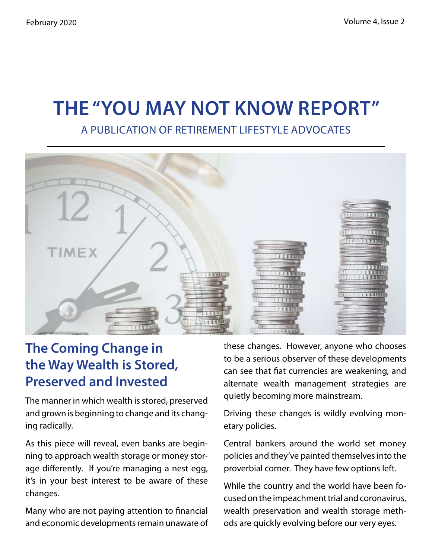# **The "You May Not Know Report"** A Publication of Retirement Lifestyle Advocates



## **The Coming Change in the Way Wealth is Stored, Preserved and Invested**

The manner in which wealth is stored, preserved and grown is beginning to change and its changing radically.

As this piece will reveal, even banks are beginning to approach wealth storage or money storage differently. If you're managing a nest egg, it's in your best interest to be aware of these changes.

Many who are not paying attention to financial and economic developments remain unaware of these changes. However, anyone who chooses to be a serious observer of these developments can see that fiat currencies are weakening, and alternate wealth management strategies are quietly becoming more mainstream.

Driving these changes is wildly evolving monetary policies.

Central bankers around the world set money policies and they've painted themselves into the proverbial corner. They have few options left.

While the country and the world have been focused on the impeachment trial and coronavirus, wealth preservation and wealth storage methods are quickly evolving before our very eyes.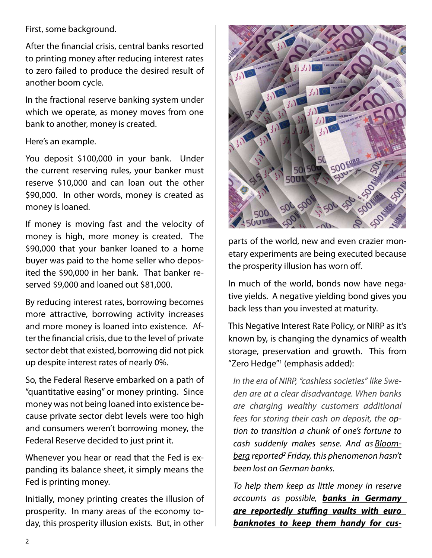First, some background.

After the financial crisis, central banks resorted to printing money after reducing interest rates to zero failed to produce the desired result of another boom cycle.

In the fractional reserve banking system under which we operate, as money moves from one bank to another, money is created.

#### Here's an example.

You deposit \$100,000 in your bank. Under the current reserving rules, your banker must reserve \$10,000 and can loan out the other \$90,000. In other words, money is created as money is loaned.

If money is moving fast and the velocity of money is high, more money is created. The \$90,000 that your banker loaned to a home buyer was paid to the home seller who deposited the \$90,000 in her bank. That banker reserved \$9,000 and loaned out \$81,000.

By reducing interest rates, borrowing becomes more attractive, borrowing activity increases and more money is loaned into existence. After the financial crisis, due to the level of private sector debt that existed, borrowing did not pick up despite interest rates of nearly 0%.

So, the Federal Reserve embarked on a path of "quantitative easing" or money printing. Since money was not being loaned into existence because private sector debt levels were too high and consumers weren't borrowing money, the Federal Reserve decided to just print it.

Whenever you hear or read that the Fed is expanding its balance sheet, it simply means the Fed is printing money.

Initially, money printing creates the illusion of prosperity. In many areas of the economy today, this prosperity illusion exists. But, in other



parts of the world, new and even crazier monetary experiments are being executed because the prosperity illusion has worn off.

In much of the world, bonds now have negative yields. A negative yielding bond gives you back less than you invested at maturity.

This Negative Interest Rate Policy, or NIRP as it's known by, is changing the dynamics of wealth storage, preservation and growth. This from "Zero Hedge"1 (emphasis added):

*In the era of NIRP, "cashless societies" like Sweden are at a clear disadvantage. When banks are charging wealthy customers additional fees for storing their cash on deposit, the option to transition a chunk of one's fortune to cash suddenly makes sense. And as Bloomberg reported2 Friday, this phenomenon hasn't been lost on German banks.*

*To help them keep as little money in reserve accounts as possible, banks in Germany are reportedly stuffing vaults with euro banknotes to keep them handy for cus-*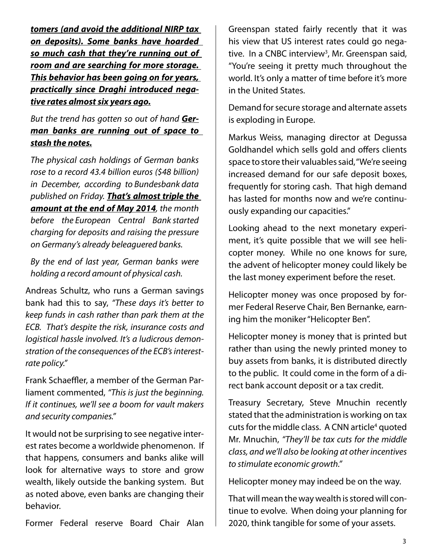*tomers (and avoid the additional NIRP tax on deposits). Some banks have hoarded so much cash that they're running out of room and are searching for more storage. This behavior has been going on for years, practically since Draghi introduced negative rates almost six years ago.*

*But the trend has gotten so out of hand German banks are running out of space to stash the notes.*

*The physical cash holdings of German banks rose to a record 43.4 billion euros (\$48 billion) in December, according to Bundesbank data published on Friday. That's almost triple the amount at the end of May 2014, the month before the European Central Bank started charging for deposits and raising the pressure on Germany's already beleaguered banks.*

*By the end of last year, German banks were holding a record amount of physical cash.*

Andreas Schultz, who runs a German savings bank had this to say, *"These days it's better to keep funds in cash rather than park them at the ECB. That's despite the risk, insurance costs and logistical hassle involved. It's a ludicrous demonstration of the consequences of the ECB's interestrate policy."*

Frank Schaeffler, a member of the German Parliament commented, *"This is just the beginning. If it continues, we'll see a boom for vault makers and security companies."*

It would not be surprising to see negative interest rates become a worldwide phenomenon. If that happens, consumers and banks alike will look for alternative ways to store and grow wealth, likely outside the banking system. But as noted above, even banks are changing their behavior.

Former Federal reserve Board Chair Alan

Greenspan stated fairly recently that it was his view that US interest rates could go negative. In a CNBC interview<sup>3</sup>, Mr. Greenspan said, "You're seeing it pretty much throughout the world. It's only a matter of time before it's more in the United States.

Demand for secure storage and alternate assets is exploding in Europe.

Markus Weiss, managing director at Degussa Goldhandel which sells gold and offers clients space to store their valuables said, "We're seeing increased demand for our safe deposit boxes, frequently for storing cash. That high demand has lasted for months now and we're continuously expanding our capacities."

Looking ahead to the next monetary experiment, it's quite possible that we will see helicopter money. While no one knows for sure, the advent of helicopter money could likely be the last money experiment before the reset.

Helicopter money was once proposed by former Federal Reserve Chair, Ben Bernanke, earning him the moniker "Helicopter Ben".

Helicopter money is money that is printed but rather than using the newly printed money to buy assets from banks, it is distributed directly to the public. It could come in the form of a direct bank account deposit or a tax credit.

Treasury Secretary, Steve Mnuchin recently stated that the administration is working on tax cuts for the middle class. A CNN article<sup>4</sup> quoted Mr. Mnuchin, *"They'll be tax cuts for the middle class, and we'll also be looking at other incentives to stimulate economic growth."*

Helicopter money may indeed be on the way.

That will mean the way wealth is stored will continue to evolve. When doing your planning for 2020, think tangible for some of your assets.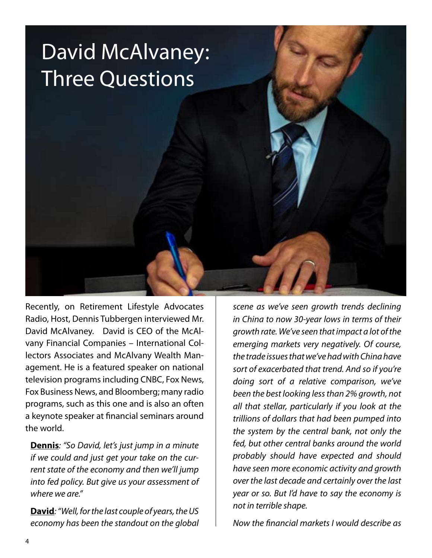# David McAlvaney: Three Questions

Recently, on Retirement Lifestyle Advocates Radio, Host, Dennis Tubbergen interviewed Mr. David McAlvaney. David is CEO of the McAlvany Financial Companies – International Collectors Associates and McAlvany Wealth Management. He is a featured speaker on national television programs including CNBC, Fox News, Fox Business News, and Bloomberg; many radio programs, such as this one and is also an often a keynote speaker at financial seminars around the world.

**Dennis***: "So David, let's just jump in a minute if we could and just get your take on the current state of the economy and then we'll jump into fed policy. But give us your assessment of where we are."* 

**David***: "Well, for the last couple of years, the US economy has been the standout on the global* 

*scene as we've seen growth trends declining in China to now 30-year lows in terms of their growth rate. We've seen that impact a lot of the emerging markets very negatively. Of course, the trade issues that we've had with China have sort of exacerbated that trend. And so if you're doing sort of a relative comparison, we've been the best looking less than 2% growth, not all that stellar, particularly if you look at the trillions of dollars that had been pumped into the system by the central bank, not only the fed, but other central banks around the world probably should have expected and should have seen more economic activity and growth over the last decade and certainly over the last year or so. But I'd have to say the economy is not in terrible shape.* 

*Now the financial markets I would describe as*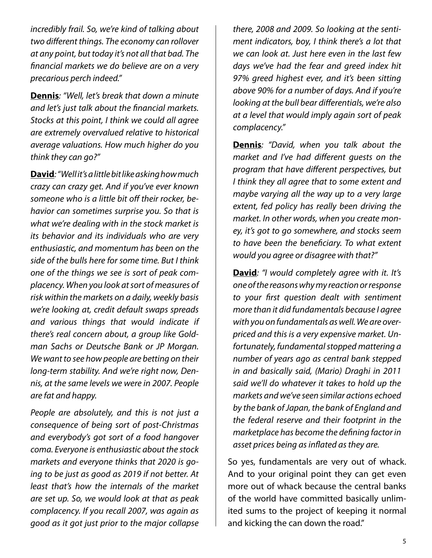*incredibly frail. So, we're kind of talking about two different things. The economy can rollover at any point, but today it's not all that bad. The financial markets we do believe are on a very precarious perch indeed."*

**Dennis***: "Well, let's break that down a minute and let's just talk about the financial markets. Stocks at this point, I think we could all agree are extremely overvalued relative to historical average valuations. How much higher do you think they can go?"* 

**David***: "Well it's a little bit like asking how much crazy can crazy get. And if you've ever known someone who is a little bit off their rocker, behavior can sometimes surprise you. So that is what we're dealing with in the stock market is its behavior and its individuals who are very enthusiastic, and momentum has been on the side of the bulls here for some time. But I think one of the things we see is sort of peak complacency. When you look at sort of measures of risk within the markets on a daily, weekly basis we're looking at, credit default swaps spreads and various things that would indicate if there's real concern about, a group like Goldman Sachs or Deutsche Bank or JP Morgan. We want to see how people are betting on their long-term stability. And we're right now, Dennis, at the same levels we were in 2007. People are fat and happy.* 

*People are absolutely, and this is not just a consequence of being sort of post-Christmas and everybody's got sort of a food hangover coma. Everyone is enthusiastic about the stock markets and everyone thinks that 2020 is going to be just as good as 2019 if not better. At least that's how the internals of the market are set up. So, we would look at that as peak complacency. If you recall 2007, was again as good as it got just prior to the major collapse* 

*there, 2008 and 2009. So looking at the sentiment indicators, boy, I think there's a lot that we can look at. Just here even in the last few days we've had the fear and greed index hit 97% greed highest ever, and it's been sitting above 90% for a number of days. And if you're looking at the bull bear differentials, we're also at a level that would imply again sort of peak complacency."* 

**Dennis***: "David, when you talk about the market and I've had different guests on the program that have different perspectives, but I think they all agree that to some extent and maybe varying all the way up to a very large extent, fed policy has really been driving the market. In other words, when you create money, it's got to go somewhere, and stocks seem to have been the beneficiary. To what extent would you agree or disagree with that?"* 

**David***: "I would completely agree with it. It's one of the reasons why my reaction or response to your first question dealt with sentiment more than it did fundamentals because I agree with you on fundamentals as well. We are overpriced and this is a very expensive market. Unfortunately, fundamental stopped mattering a number of years ago as central bank stepped in and basically said, (Mario) Draghi in 2011 said we'll do whatever it takes to hold up the markets and we've seen similar actions echoed by the bank of Japan, the bank of England and the federal reserve and their footprint in the marketplace has become the defining factor in asset prices being as inflated as they are.* 

So yes, fundamentals are very out of whack. And to your original point they can get even more out of whack because the central banks of the world have committed basically unlimited sums to the project of keeping it normal and kicking the can down the road."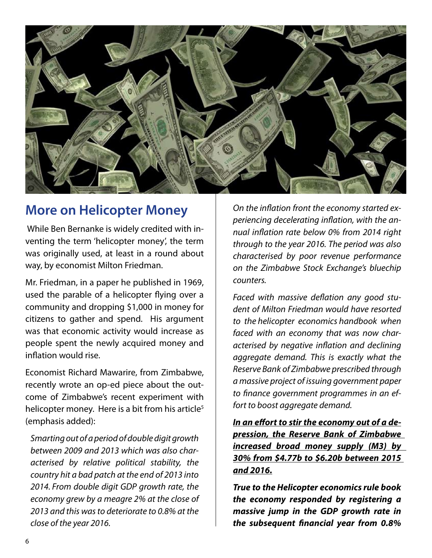

## **More on Helicopter Money**

 While Ben Bernanke is widely credited with inventing the term 'helicopter money', the term was originally used, at least in a round about way, by economist Milton Friedman.

Mr. Friedman, in a paper he published in 1969, used the parable of a helicopter flying over a community and dropping \$1,000 in money for citizens to gather and spend. His argument was that economic activity would increase as people spent the newly acquired money and inflation would rise.

Economist Richard Mawarire, from Zimbabwe, recently wrote an op-ed piece about the outcome of Zimbabwe's recent experiment with helicopter money. Here is a bit from his article<sup>5</sup> (emphasis added):

*Smarting out of a period of double digit growth between 2009 and 2013 which was also characterised by relative political stability, the country hit a bad patch at the end of 2013 into 2014. From double digit GDP growth rate, the economy grew by a meagre 2% at the close of 2013 and this was to deteriorate to 0.8% at the close of the year 2016.*

*On the inflation front the economy started experiencing decelerating inflation, with the annual inflation rate below 0% from 2014 right through to the year 2016. The period was also characterised by poor revenue performance on the Zimbabwe Stock Exchange's bluechip counters.*

*Faced with massive deflation any good student of Milton Friedman would have resorted to the helicopter economics handbook when faced with an economy that was now characterised by negative inflation and declining aggregate demand. This is exactly what the Reserve Bank of Zimbabwe prescribed through a massive project of issuing government paper to finance government programmes in an effort to boost aggregate demand.*

*In an effort to stir the economy out of a depression, the Reserve Bank of Zimbabwe increased broad money supply (M3) by 30% from \$4.77b to \$6.20b between 2015 and 2016.*

*True to the Helicopter economics rule book the economy responded by registering a massive jump in the GDP growth rate in the subsequent financial year from 0.8%*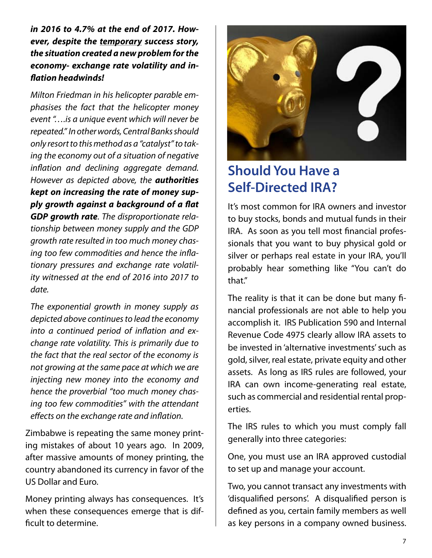*in 2016 to 4.7% at the end of 2017. However, despite the temporary success story, the situation created a new problem for the economy- exchange rate volatility and inflation headwinds!*

*Milton Friedman in his helicopter parable emphasises the fact that the helicopter money event "….is a unique event which will never be repeated." In other words, Central Banks should only resort to this method as a "catalyst" to taking the economy out of a situation of negative inflation and declining aggregate demand. However as depicted above, the authorities kept on increasing the rate of money supply growth against a background of a flat GDP growth rate. The disproportionate relationship between money supply and the GDP growth rate resulted in too much money chasing too few commodities and hence the inflationary pressures and exchange rate volatility witnessed at the end of 2016 into 2017 to date.*

*The exponential growth in money supply as depicted above continues to lead the economy into a continued period of inflation and exchange rate volatility. This is primarily due to the fact that the real sector of the economy is not growing at the same pace at which we are injecting new money into the economy and hence the proverbial "too much money chasing too few commodities" with the attendant effects on the exchange rate and inflation.*

Zimbabwe is repeating the same money printing mistakes of about 10 years ago. In 2009, after massive amounts of money printing, the country abandoned its currency in favor of the US Dollar and Euro.

Money printing always has consequences. It's when these consequences emerge that is difficult to determine.



## **Should You Have a Self-Directed IRA?**

It's most common for IRA owners and investor to buy stocks, bonds and mutual funds in their IRA. As soon as you tell most financial professionals that you want to buy physical gold or silver or perhaps real estate in your IRA, you'll probably hear something like "You can't do that."

The reality is that it can be done but many financial professionals are not able to help you accomplish it. IRS Publication 590 and Internal Revenue Code 4975 clearly allow IRA assets to be invested in 'alternative investments' such as gold, silver, real estate, private equity and other assets. As long as IRS rules are followed, your IRA can own income-generating real estate, such as commercial and residential rental properties.

The IRS rules to which you must comply fall generally into three categories:

One, you must use an IRA approved custodial to set up and manage your account.

Two, you cannot transact any investments with 'disqualified persons'. A disqualified person is defined as you, certain family members as well as key persons in a company owned business.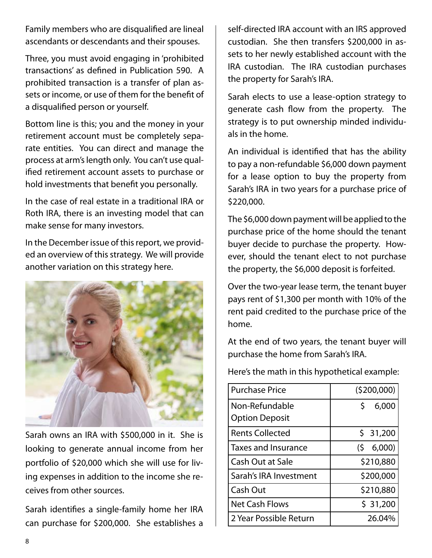Family members who are disqualified are lineal ascendants or descendants and their spouses.

Three, you must avoid engaging in 'prohibited transactions' as defined in Publication 590. A prohibited transaction is a transfer of plan assets or income, or use of them for the benefit of a disqualified person or yourself.

Bottom line is this; you and the money in your retirement account must be completely separate entities. You can direct and manage the process at arm's length only. You can't use qualified retirement account assets to purchase or hold investments that benefit you personally.

In the case of real estate in a traditional IRA or Roth IRA, there is an investing model that can make sense for many investors.

In the December issue of this report, we provided an overview of this strategy. We will provide another variation on this strategy here.



Sarah owns an IRA with \$500,000 in it. She is looking to generate annual income from her portfolio of \$20,000 which she will use for living expenses in addition to the income she receives from other sources.

Sarah identifies a single-family home her IRA can purchase for \$200,000. She establishes a self-directed IRA account with an IRS approved custodian. She then transfers \$200,000 in assets to her newly established account with the IRA custodian. The IRA custodian purchases the property for Sarah's IRA.

Sarah elects to use a lease-option strategy to generate cash flow from the property. The strategy is to put ownership minded individuals in the home.

An individual is identified that has the ability to pay a non-refundable \$6,000 down payment for a lease option to buy the property from Sarah's IRA in two years for a purchase price of \$220,000.

The \$6,000 down payment will be applied to the purchase price of the home should the tenant buyer decide to purchase the property. However, should the tenant elect to not purchase the property, the \$6,000 deposit is forfeited.

Over the two-year lease term, the tenant buyer pays rent of \$1,300 per month with 10% of the rent paid credited to the purchase price of the home.

At the end of two years, the tenant buyer will purchase the home from Sarah's IRA.

Here's the math in this hypothetical example:

| <b>Purchase Price</b>  | (5200,000)   |
|------------------------|--------------|
| Non-Refundable         | \$.<br>6,000 |
| <b>Option Deposit</b>  |              |
| <b>Rents Collected</b> | \$31,200     |
| Taxes and Insurance    | 6,000<br>(5) |
| Cash Out at Sale       | \$210,880    |
| Sarah's IRA Investment | \$200,000    |
| Cash Out               | \$210,880    |
| <b>Net Cash Flows</b>  | \$31,200     |
| 2 Year Possible Return | 26.04%       |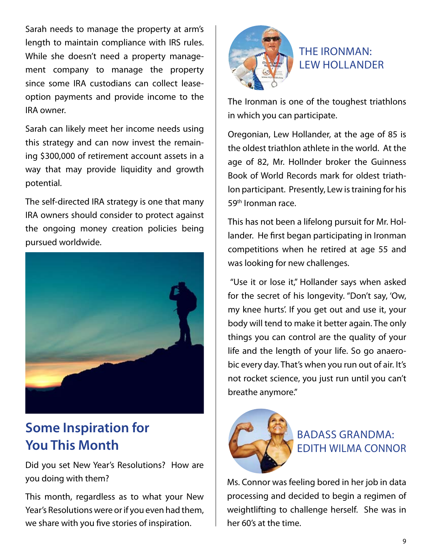Sarah needs to manage the property at arm's length to maintain compliance with IRS rules. While she doesn't need a property management company to manage the property since some IRA custodians can collect leaseoption payments and provide income to the IRA owner.

Sarah can likely meet her income needs using this strategy and can now invest the remaining \$300,000 of retirement account assets in a way that may provide liquidity and growth potential.

The self-directed IRA strategy is one that many IRA owners should consider to protect against the ongoing money creation policies being pursued worldwide.



## **Some Inspiration for You This Month**

Did you set New Year's Resolutions? How are you doing with them?

This month, regardless as to what your New Year's Resolutions were or if you even had them, we share with you five stories of inspiration.



#### The Ironman: Lew Hollander

The Ironman is one of the toughest triathlons in which you can participate.

Oregonian, Lew Hollander, at the age of 85 is the oldest triathlon athlete in the world. At the age of 82, Mr. Hollnder broker the Guinness Book of World Records mark for oldest triathlon participant. Presently, Lew is training for his 59th Ironman race.

This has not been a lifelong pursuit for Mr. Hollander. He first began participating in Ironman competitions when he retired at age 55 and was looking for new challenges.

 "Use it or lose it," Hollander says when asked for the secret of his longevity. "Don't say, 'Ow, my knee hurts'. If you get out and use it, your body will tend to make it better again. The only things you can control are the quality of your life and the length of your life. So go anaerobic every day. That's when you run out of air. It's not rocket science, you just run until you can't breathe anymore."



#### Badass Grandma: Edith Wilma Connor

Ms. Connor was feeling bored in her job in data processing and decided to begin a regimen of weightlifting to challenge herself. She was in her 60's at the time.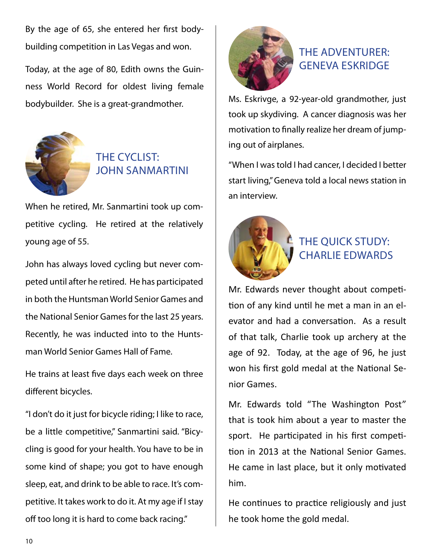By the age of 65, she entered her first bodybuilding competition in Las Vegas and won.

Today, at the age of 80, Edith owns the Guinness World Record for oldest living female bodybuilder. She is a great-grandmother.



#### The Cyclist: John Sanmartini

When he retired, Mr. Sanmartini took up competitive cycling. He retired at the relatively young age of 55.

John has always loved cycling but never competed until after he retired. He has participated in both the Huntsman World Senior Games and the National Senior Games for the last 25 years. Recently, he was inducted into to the Huntsman World Senior Games Hall of Fame.

He trains at least five days each week on three different bicycles.

"I don't do it just for bicycle riding; I like to race, be a little competitive," Sanmartini said. "Bicycling is good for your health. You have to be in some kind of shape; you got to have enough sleep, eat, and drink to be able to race. It's competitive. It takes work to do it. At my age if I stay off too long it is hard to come back racing."



#### The Adventurer: Geneva Eskridge

Ms. Eskrivge, a 92-year-old grandmother, just took up skydiving. A cancer diagnosis was her motivation to finally realize her dream of jumping out of airplanes.

"When I was told I had cancer, I decided I better start living," Geneva told a local news station in an interview.



#### THE QUICK STUDY: Charlie Edwards

Mr. Edwards never thought about competition of any kind until he met a man in an elevator and had a conversation. As a result of that talk, Charlie took up archery at the age of 92. Today, at the age of 96, he just won his first gold medal at the National Senior Games.

Mr. Edwards told "The Washington Post" that is took him about a year to master the sport. He participated in his first competition in 2013 at the National Senior Games. He came in last place, but it only motivated him.

He continues to practice religiously and just he took home the gold medal.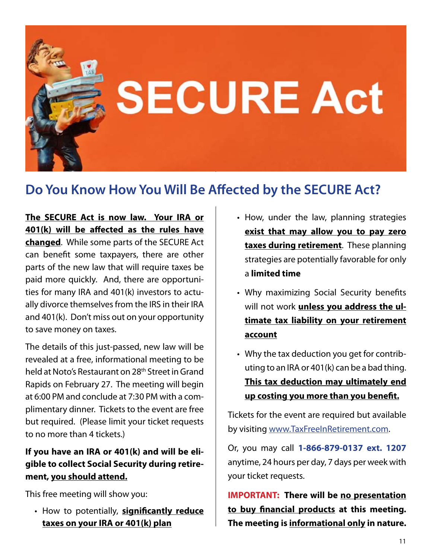

## **Do You Know How You Will Be Affected by the SECURE Act?**

**The SECURE Act is now law. Your IRA or 401(k) will be affected as the rules have changed**. While some parts of the SECURE Act can benefit some taxpayers, there are other parts of the new law that will require taxes be paid more quickly. And, there are opportunities for many IRA and 401(k) investors to actually divorce themselves from the IRS in their IRA and 401(k). Don't miss out on your opportunity to save money on taxes.

The details of this just-passed, new law will be revealed at a free, informational meeting to be held at Noto's Restaurant on 28th Street in Grand Rapids on February 27. The meeting will begin at 6:00 PM and conclude at 7:30 PM with a complimentary dinner. Tickets to the event are free but required. (Please limit your ticket requests to no more than 4 tickets.)

#### **If you have an IRA or 401(k) and will be eligible to collect Social Security during retirement, you should attend.**

This free meeting will show you:

**• How to potentially, significantly reduce taxes on your IRA or 401(k) plan**

- How, under the law, planning strategies **exist that may allow you to pay zero taxes during retirement**. These planning strategies are potentially favorable for only a **limited time**
- Why maximizing Social Security benefits will not work **unless you address the ultimate tax liability on your retirement account**
- Why the tax deduction you get for contrib-• uting to an IRA or 401(k) can be a bad thing. **This tax deduction may ultimately end up costing you more than you benefit.**

Tickets for the event are required but available by visiting www.TaxFreeInRetirement.com.

Or, you may call **1-866-879-0137 ext. 1207** anytime, 24 hours per day, 7 days per week with your ticket requests.

**IMPORTANT: There will be no presentation to buy financial products at this meeting. The meeting is informational only in nature.**